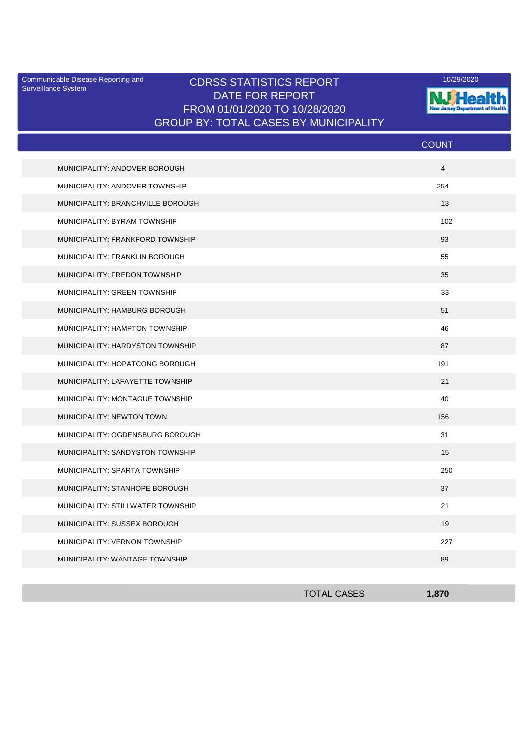Surveillance System

## Communicable Disease Reporting and **CDRSS STATISTICS REPORT** 10/29/2020<br>Surveillance Statem DATE FOR REPORT FROM 01/01/2020 TO 10/28/2020 GROUP BY: TOTAL CASES BY MUNICIPALITY



|                                   | <b>COUNT</b>   |
|-----------------------------------|----------------|
| MUNICIPALITY: ANDOVER BOROUGH     | $\overline{4}$ |
| MUNICIPALITY: ANDOVER TOWNSHIP    | 254            |
| MUNICIPALITY: BRANCHVILLE BOROUGH | 13             |
| MUNICIPALITY: BYRAM TOWNSHIP      | 102            |
| MUNICIPALITY: FRANKFORD TOWNSHIP  | 93             |
| MUNICIPALITY: FRANKLIN BOROUGH    | 55             |
| MUNICIPALITY: FREDON TOWNSHIP     | 35             |
| MUNICIPALITY: GREEN TOWNSHIP      | 33             |
| MUNICIPALITY: HAMBURG BOROUGH     | 51             |
| MUNICIPALITY: HAMPTON TOWNSHIP    | 46             |
| MUNICIPALITY: HARDYSTON TOWNSHIP  | 87             |
| MUNICIPALITY: HOPATCONG BOROUGH   | 191            |
| MUNICIPALITY: LAFAYETTE TOWNSHIP  | 21             |
| MUNICIPALITY: MONTAGUE TOWNSHIP   | 40             |
| MUNICIPALITY: NEWTON TOWN         | 156            |
| MUNICIPALITY: OGDENSBURG BOROUGH  | 31             |
| MUNICIPALITY: SANDYSTON TOWNSHIP  | 15             |
| MUNICIPALITY: SPARTA TOWNSHIP     | 250            |
| MUNICIPALITY: STANHOPE BOROUGH    | 37             |
| MUNICIPALITY: STILLWATER TOWNSHIP | 21             |
| MUNICIPALITY: SUSSEX BOROUGH      | 19             |
| MUNICIPALITY: VERNON TOWNSHIP     | 227            |
| MUNICIPALITY: WANTAGE TOWNSHIP    | 89             |

| <b>TOTAL CASES</b> | 870 |
|--------------------|-----|
|                    |     |